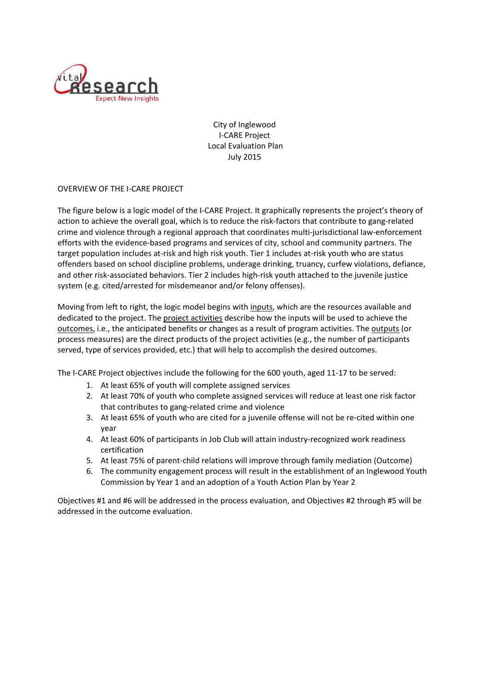

City of Inglewood I-CARE Project Local Evaluation Plan July 2015

OVERVIEW OF THE I-CARE PROJECT

The figure below is a logic model of the I-CARE Project. It graphically represents the project's theory of action to achieve the overall goal, which is to reduce the risk-factors that contribute to gang-related crime and violence through a regional approach that coordinates multi-jurisdictional law-enforcement efforts with the evidence-based programs and services of city, school and community partners. The target population includes at-risk and high risk youth. Tier 1 includes at-risk youth who are status offenders based on school discipline problems, underage drinking, truancy, curfew violations, defiance, and other risk-associated behaviors. Tier 2 includes high-risk youth attached to the juvenile justice system (e.g. cited/arrested for misdemeanor and/or felony offenses).

Moving from left to right, the logic model begins with inputs, which are the resources available and dedicated to the project. The project activities describe how the inputs will be used to achieve the outcomes, i.e., the anticipated benefits or changes as a result of program activities. The outputs (or process measures) are the direct products of the project activities (e.g., the number of participants served, type of services provided, etc.) that will help to accomplish the desired outcomes.

The I-CARE Project objectives include the following for the 600 youth, aged 11-17 to be served:

- 1. At least 65% of youth will complete assigned services
- 2. At least 70% of youth who complete assigned services will reduce at least one risk factor that contributes to gang-related crime and violence
- 3. At least 65% of youth who are cited for a juvenile offense will not be re-cited within one year
- 4. At least 60% of participants in Job Club will attain industry-recognized work readiness certification
- 5. At least 75% of parent-child relations will improve through family mediation (Outcome)
- 6. The community engagement process will result in the establishment of an Inglewood Youth Commission by Year 1 and an adoption of a Youth Action Plan by Year 2

Objectives #1 and #6 will be addressed in the process evaluation, and Objectives #2 through #5 will be addressed in the outcome evaluation.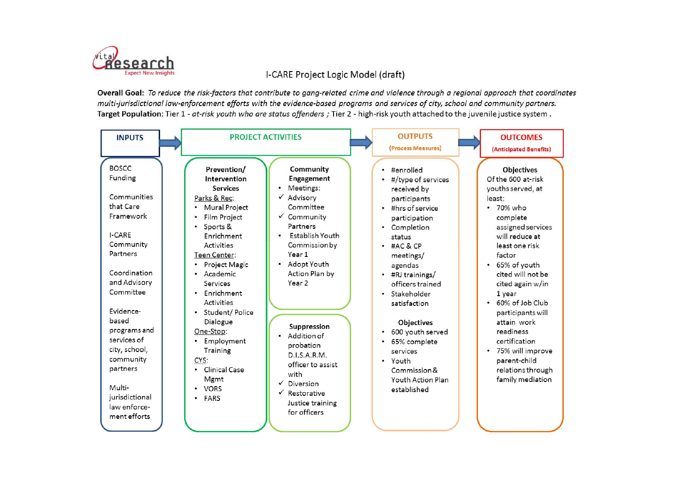

# I-CARE Project Logic Model (draft)

Overall Goal: To reduce the risk-factors that contribute to gang-related crime and violence through a regional approach that coordinates multi-jurisdictional law-enforcement efforts with the evidence-based programs and services of city, school and community partners. Target Population: Tier 1 - at-risk youth who are status offenders ; Tier 2 - high-risk youth attached to the juvenile justice system.

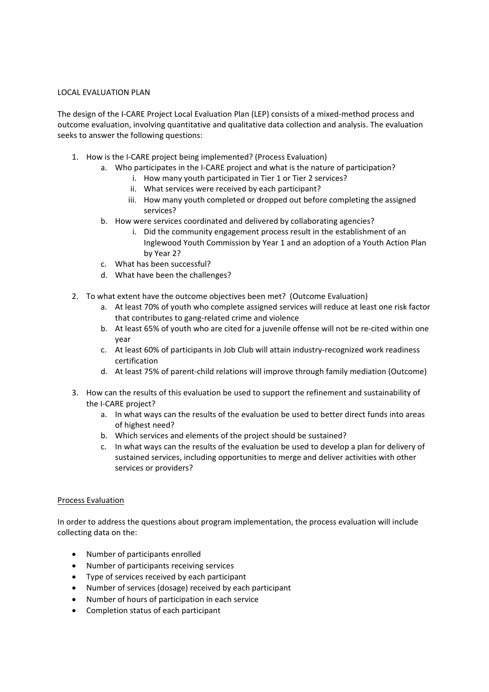#### LOCAL EVALUATION PLAN

The design of the I-CARE Project Local Evaluation Plan (LEP) consists of a mixed-method process and outcome evaluation, involving quantitative and qualitative data collection and analysis. The evaluation seeks to answer the following questions:

- 1. How is the I-CARE project being implemented? (Process Evaluation)
	- a. Who participates in the I-CARE project and what is the nature of participation?
		- i. How many youth participated in Tier 1 or Tier 2 services?
		- ii. What services were received by each participant?
		- iii. How many youth completed or dropped out before completing the assigned services?
	- b. How were services coordinated and delivered by collaborating agencies?
		- i. Did the community engagement process result in the establishment of an Inglewood Youth Commission by Year 1 and an adoption of a Youth Action Plan by Year 2?
	- c. What has been successful?
	- d. What have been the challenges?
- 2. To what extent have the outcome objectives been met? (Outcome Evaluation)
	- a. At least 70% of youth who complete assigned services will reduce at least one risk factor that contributes to gang-related crime and violence
	- b. At least 65% of youth who are cited for a juvenile offense will not be re-cited within one year
	- c. At least 60% of participants in Job Club will attain industry-recognized work readiness certification
	- d. At least 75% of parent-child relations will improve through family mediation (Outcome)
- 3. How can the results of this evaluation be used to support the refinement and sustainability of the I-CARE project?
	- a. In what ways can the results of the evaluation be used to better direct funds into areas of highest need?
	- b. Which services and elements of the project should be sustained?
	- c. In what ways can the results of the evaluation be used to develop a plan for delivery of sustained services, including opportunities to merge and deliver activities with other services or providers?

## Process Evaluation

In order to address the questions about program implementation, the process evaluation will include collecting data on the:

- Number of participants enrolled
- Number of participants receiving services
- Type of services received by each participant
- Number of services (dosage) received by each participant
- Number of hours of participation in each service
- Completion status of each participant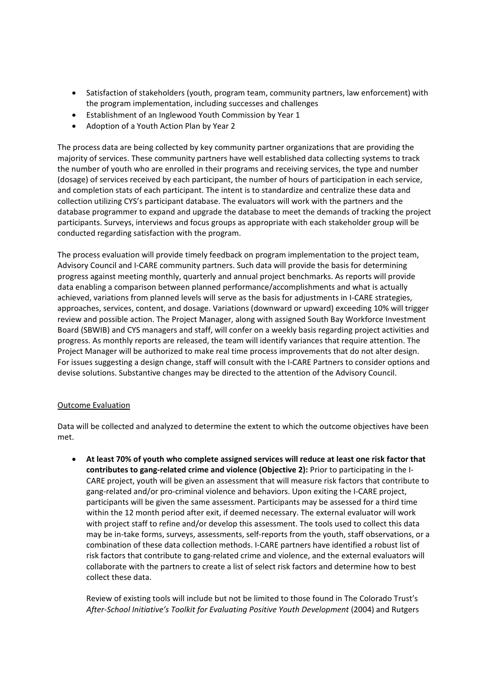- Satisfaction of stakeholders (youth, program team, community partners, law enforcement) with the program implementation, including successes and challenges
- Establishment of an Inglewood Youth Commission by Year 1
- Adoption of a Youth Action Plan by Year 2

The process data are being collected by key community partner organizations that are providing the majority of services. These community partners have well established data collecting systems to track the number of youth who are enrolled in their programs and receiving services, the type and number (dosage) of services received by each participant, the number of hours of participation in each service, and completion stats of each participant. The intent is to standardize and centralize these data and collection utilizing CYS's participant database. The evaluators will work with the partners and the database programmer to expand and upgrade the database to meet the demands of tracking the project participants. Surveys, interviews and focus groups as appropriate with each stakeholder group will be conducted regarding satisfaction with the program.

The process evaluation will provide timely feedback on program implementation to the project team, Advisory Council and I-CARE community partners. Such data will provide the basis for determining progress against meeting monthly, quarterly and annual project benchmarks. As reports will provide data enabling a comparison between planned performance/accomplishments and what is actually achieved, variations from planned levels will serve as the basis for adjustments in I-CARE strategies, approaches, services, content, and dosage. Variations (downward or upward) exceeding 10% will trigger review and possible action. The Project Manager, along with assigned South Bay Workforce Investment Board (SBWIB) and CYS managers and staff, will confer on a weekly basis regarding project activities and progress. As monthly reports are released, the team will identify variances that require attention. The Project Manager will be authorized to make real time process improvements that do not alter design. For issues suggesting a design change, staff will consult with the I-CARE Partners to consider options and devise solutions. Substantive changes may be directed to the attention of the Advisory Council.

## Outcome Evaluation

Data will be collected and analyzed to determine the extent to which the outcome objectives have been met.

 **At least 70% of youth who complete assigned services will reduce at least one risk factor that contributes to gang-related crime and violence (Objective 2):** Prior to participating in the I-CARE project, youth will be given an assessment that will measure risk factors that contribute to gang-related and/or pro-criminal violence and behaviors. Upon exiting the I-CARE project, participants will be given the same assessment. Participants may be assessed for a third time within the 12 month period after exit, if deemed necessary. The external evaluator will work with project staff to refine and/or develop this assessment. The tools used to collect this data may be in-take forms, surveys, assessments, self-reports from the youth, staff observations, or a combination of these data collection methods. I-CARE partners have identified a robust list of risk factors that contribute to gang-related crime and violence, and the external evaluators will collaborate with the partners to create a list of select risk factors and determine how to best collect these data.

Review of existing tools will include but not be limited to those found in The Colorado Trust's *After-School Initiative's Toolkit for Evaluating Positive Youth Development* (2004) and Rutgers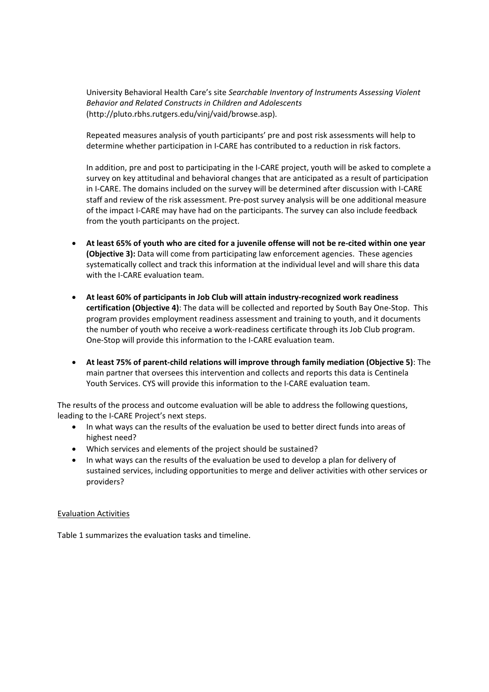University Behavioral Health Care's site *Searchable Inventory of Instruments Assessing Violent Behavior and Related Constructs in Children and Adolescents* (http://pluto.rbhs.rutgers.edu/vinj/vaid/browse.asp).

Repeated measures analysis of youth participants' pre and post risk assessments will help to determine whether participation in I-CARE has contributed to a reduction in risk factors.

In addition, pre and post to participating in the I-CARE project, youth will be asked to complete a survey on key attitudinal and behavioral changes that are anticipated as a result of participation in I-CARE. The domains included on the survey will be determined after discussion with I-CARE staff and review of the risk assessment. Pre-post survey analysis will be one additional measure of the impact I-CARE may have had on the participants. The survey can also include feedback from the youth participants on the project.

- **At least 65% of youth who are cited for a juvenile offense will not be re-cited within one year (Objective 3):** Data will come from participating law enforcement agencies. These agencies systematically collect and track this information at the individual level and will share this data with the I-CARE evaluation team.
- **At least 60% of participants in Job Club will attain industry-recognized work readiness certification (Objective 4)**: The data will be collected and reported by South Bay One-Stop. This program provides employment readiness assessment and training to youth, and it documents the number of youth who receive a work-readiness certificate through its Job Club program. One-Stop will provide this information to the I-CARE evaluation team.
- **At least 75% of parent-child relations will improve through family mediation (Objective 5)**: The main partner that oversees this intervention and collects and reports this data is Centinela Youth Services. CYS will provide this information to the I-CARE evaluation team.

The results of the process and outcome evaluation will be able to address the following questions, leading to the I-CARE Project's next steps.

- In what ways can the results of the evaluation be used to better direct funds into areas of highest need?
- Which services and elements of the project should be sustained?
- In what ways can the results of the evaluation be used to develop a plan for delivery of sustained services, including opportunities to merge and deliver activities with other services or providers?

## Evaluation Activities

Table 1 summarizes the evaluation tasks and timeline.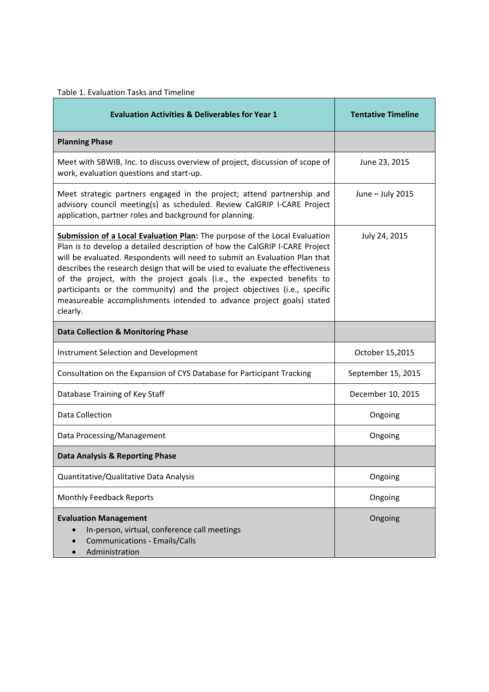| Table 1. Evaluation Tasks and Timeline                                                                                                                                                                                                                                                                                                                                                                                                                                                                                                                               |                           |  |  |  |  |  |
|----------------------------------------------------------------------------------------------------------------------------------------------------------------------------------------------------------------------------------------------------------------------------------------------------------------------------------------------------------------------------------------------------------------------------------------------------------------------------------------------------------------------------------------------------------------------|---------------------------|--|--|--|--|--|
| <b>Evaluation Activities &amp; Deliverables for Year 1</b>                                                                                                                                                                                                                                                                                                                                                                                                                                                                                                           | <b>Tentative Timeline</b> |  |  |  |  |  |
| <b>Planning Phase</b>                                                                                                                                                                                                                                                                                                                                                                                                                                                                                                                                                |                           |  |  |  |  |  |
| Meet with SBWIB, Inc. to discuss overview of project, discussion of scope of<br>work, evaluation questions and start-up.                                                                                                                                                                                                                                                                                                                                                                                                                                             | June 23, 2015             |  |  |  |  |  |
| Meet strategic partners engaged in the project; attend partnership and<br>advisory council meeting(s) as scheduled. Review CalGRIP I-CARE Project<br>application, partner roles and background for planning.                                                                                                                                                                                                                                                                                                                                                         | June - July 2015          |  |  |  |  |  |
| Submission of a Local Evaluation Plan: The purpose of the Local Evaluation<br>Plan is to develop a detailed description of how the CalGRIP I-CARE Project<br>will be evaluated. Respondents will need to submit an Evaluation Plan that<br>describes the research design that will be used to evaluate the effectiveness<br>of the project, with the project goals (i.e., the expected benefits to<br>participants or the community) and the project objectives (i.e., specific<br>measureable accomplishments intended to advance project goals) stated<br>clearly. | July 24, 2015             |  |  |  |  |  |
| <b>Data Collection &amp; Monitoring Phase</b>                                                                                                                                                                                                                                                                                                                                                                                                                                                                                                                        |                           |  |  |  |  |  |
| Instrument Selection and Development                                                                                                                                                                                                                                                                                                                                                                                                                                                                                                                                 | October 15,2015           |  |  |  |  |  |
| Consultation on the Expansion of CYS Database for Participant Tracking                                                                                                                                                                                                                                                                                                                                                                                                                                                                                               | September 15, 2015        |  |  |  |  |  |
| Database Training of Key Staff                                                                                                                                                                                                                                                                                                                                                                                                                                                                                                                                       | December 10, 2015         |  |  |  |  |  |
| <b>Data Collection</b>                                                                                                                                                                                                                                                                                                                                                                                                                                                                                                                                               | Ongoing                   |  |  |  |  |  |
| Data Processing/Management                                                                                                                                                                                                                                                                                                                                                                                                                                                                                                                                           | Ongoing                   |  |  |  |  |  |
| <b>Data Analysis &amp; Reporting Phase</b>                                                                                                                                                                                                                                                                                                                                                                                                                                                                                                                           |                           |  |  |  |  |  |
| Quantitative/Qualitative Data Analysis                                                                                                                                                                                                                                                                                                                                                                                                                                                                                                                               | Ongoing                   |  |  |  |  |  |
| Monthly Feedback Reports                                                                                                                                                                                                                                                                                                                                                                                                                                                                                                                                             | Ongoing                   |  |  |  |  |  |
| <b>Evaluation Management</b><br>In-person, virtual, conference call meetings<br><b>Communications - Emails/Calls</b><br>Administration                                                                                                                                                                                                                                                                                                                                                                                                                               | Ongoing                   |  |  |  |  |  |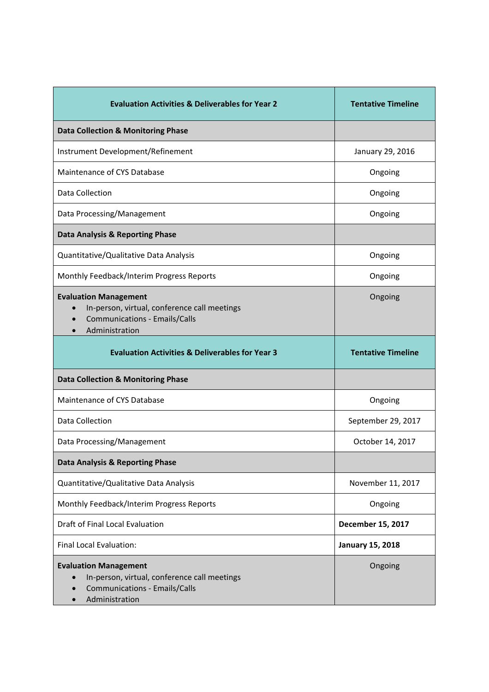| <b>Evaluation Activities &amp; Deliverables for Year 2</b>                                                                             | <b>Tentative Timeline</b> |  |  |
|----------------------------------------------------------------------------------------------------------------------------------------|---------------------------|--|--|
| <b>Data Collection &amp; Monitoring Phase</b>                                                                                          |                           |  |  |
| Instrument Development/Refinement                                                                                                      | January 29, 2016          |  |  |
| Maintenance of CYS Database                                                                                                            | Ongoing                   |  |  |
| Data Collection                                                                                                                        | Ongoing                   |  |  |
| Data Processing/Management                                                                                                             | Ongoing                   |  |  |
| Data Analysis & Reporting Phase                                                                                                        |                           |  |  |
| Quantitative/Qualitative Data Analysis                                                                                                 | Ongoing                   |  |  |
| Monthly Feedback/Interim Progress Reports                                                                                              | Ongoing                   |  |  |
| <b>Evaluation Management</b><br>In-person, virtual, conference call meetings<br><b>Communications - Emails/Calls</b><br>Administration | Ongoing                   |  |  |
| <b>Evaluation Activities &amp; Deliverables for Year 3</b>                                                                             | <b>Tentative Timeline</b> |  |  |
| <b>Data Collection &amp; Monitoring Phase</b>                                                                                          |                           |  |  |
| Maintenance of CYS Database                                                                                                            | Ongoing                   |  |  |
| Data Collection                                                                                                                        | September 29, 2017        |  |  |
| Data Processing/Management                                                                                                             | October 14, 2017          |  |  |
| <b>Data Analysis &amp; Reporting Phase</b>                                                                                             |                           |  |  |
| Quantitative/Qualitative Data Analysis                                                                                                 | November 11, 2017         |  |  |
| Monthly Feedback/Interim Progress Reports                                                                                              | Ongoing                   |  |  |
| Draft of Final Local Evaluation                                                                                                        | December 15, 2017         |  |  |
| <b>Final Local Evaluation:</b>                                                                                                         | <b>January 15, 2018</b>   |  |  |
| <b>Evaluation Management</b><br>In-person, virtual, conference call meetings<br><b>Communications - Emails/Calls</b><br>Administration | Ongoing                   |  |  |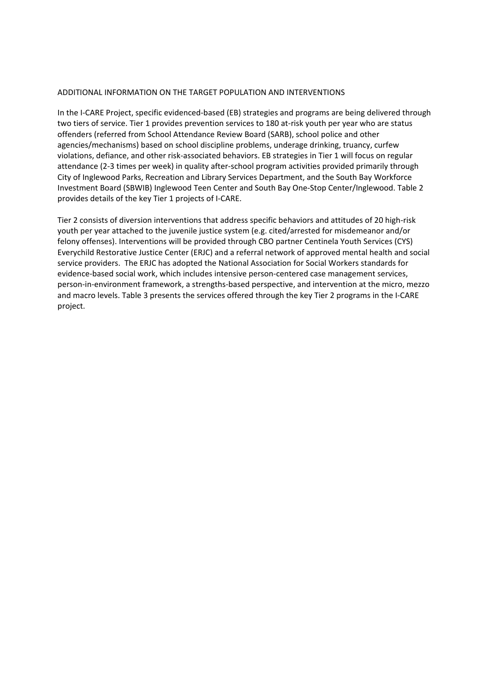#### ADDITIONAL INFORMATION ON THE TARGET POPULATION AND INTERVENTIONS

In the I-CARE Project, specific evidenced-based (EB) strategies and programs are being delivered through two tiers of service. Tier 1 provides prevention services to 180 at-risk youth per year who are status offenders (referred from School Attendance Review Board (SARB), school police and other agencies/mechanisms) based on school discipline problems, underage drinking, truancy, curfew violations, defiance, and other risk-associated behaviors. EB strategies in Tier 1 will focus on regular attendance (2-3 times per week) in quality after-school program activities provided primarily through City of Inglewood Parks, Recreation and Library Services Department, and the South Bay Workforce Investment Board (SBWIB) Inglewood Teen Center and South Bay One-Stop Center/Inglewood. Table 2 provides details of the key Tier 1 projects of I-CARE.

Tier 2 consists of diversion interventions that address specific behaviors and attitudes of 20 high-risk youth per year attached to the juvenile justice system (e.g. cited/arrested for misdemeanor and/or felony offenses). Interventions will be provided through CBO partner Centinela Youth Services (CYS) Everychild Restorative Justice Center (ERJC) and a referral network of approved mental health and social service providers. The ERJC has adopted the National Association for Social Workers standards for evidence-based social work, which includes intensive person-centered case management services, person-in-environment framework, a strengths-based perspective, and intervention at the micro, mezzo and macro levels. Table 3 presents the services offered through the key Tier 2 programs in the I-CARE project.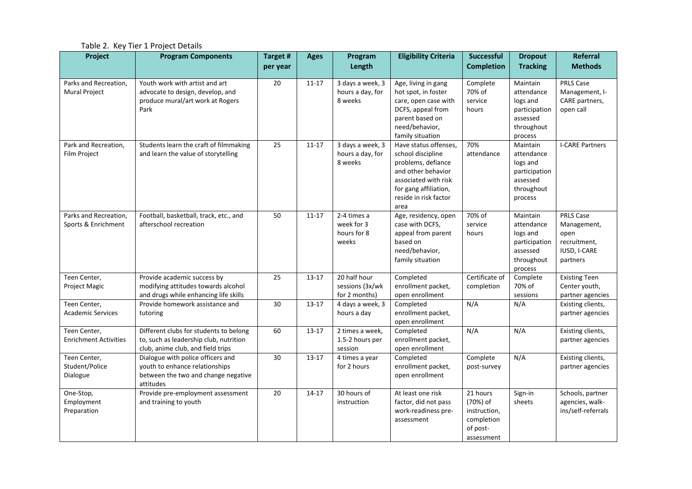Table 2. Key Tier 1 Project Details

| Project                                      | <b>Program Components</b>                                                                                               | Target #<br>per year | <b>Ages</b> | Program<br>Length                                 | <b>Eligibility Criteria</b>                                                                                                                                              | <b>Successful</b><br><b>Completion</b>                                       | <b>Dropout</b><br><b>Tracking</b>                                                        | <b>Referral</b><br><b>Methods</b>                                            |
|----------------------------------------------|-------------------------------------------------------------------------------------------------------------------------|----------------------|-------------|---------------------------------------------------|--------------------------------------------------------------------------------------------------------------------------------------------------------------------------|------------------------------------------------------------------------------|------------------------------------------------------------------------------------------|------------------------------------------------------------------------------|
| Parks and Recreation,<br>Mural Project       | Youth work with artist and art<br>advocate to design, develop, and<br>produce mural/art work at Rogers<br>Park          | 20                   | $11 - 17$   | 3 days a week, 3<br>hours a day, for<br>8 weeks   | Age, living in gang<br>hot spot, in foster<br>care, open case with<br>DCFS, appeal from<br>parent based on<br>need/behavior,<br>family situation                         | Complete<br>70% of<br>service<br>hours                                       | Maintain<br>attendance<br>logs and<br>participation<br>assessed<br>throughout<br>process | <b>PRLS Case</b><br>Management, I-<br>CARE partners,<br>open call            |
| Park and Recreation,<br>Film Project         | Students learn the craft of filmmaking<br>and learn the value of storytelling                                           | 25                   | $11 - 17$   | 3 days a week, 3<br>hours a day, for<br>8 weeks   | Have status offenses.<br>school discipline<br>problems, defiance<br>and other behavior<br>associated with risk<br>for gang affiliation,<br>reside in risk factor<br>area | 70%<br>attendance                                                            | Maintain<br>attendance<br>logs and<br>participation<br>assessed<br>throughout<br>process | <b>I-CARE Partners</b>                                                       |
| Parks and Recreation,<br>Sports & Enrichment | Football, basketball, track, etc., and<br>afterschool recreation                                                        | 50                   | $11 - 17$   | 2-4 times a<br>week for 3<br>hours for 8<br>weeks | Age, residency, open<br>case with DCFS,<br>appeal from parent<br>based on<br>need/behavior,<br>family situation                                                          | 70% of<br>service<br>hours                                                   | Maintain<br>attendance<br>logs and<br>participation<br>assessed<br>throughout<br>process | PRLS Case<br>Management,<br>open<br>recruitment,<br>IUSD, I-CARE<br>partners |
| Teen Center,<br>Project Magic                | Provide academic success by<br>modifying attitudes towards alcohol<br>and drugs while enhancing life skills             | 25                   | $13 - 17$   | 20 half hour<br>sessions (3x/wk<br>for 2 months)  | Completed<br>enrollment packet,<br>open enrollment                                                                                                                       | Certificate of<br>completion                                                 | Complete<br>70% of<br>sessions                                                           | <b>Existing Teen</b><br>Center youth,<br>partner agencies                    |
| Teen Center,<br><b>Academic Services</b>     | Provide homework assistance and<br>tutoring                                                                             | 30                   | $13 - 17$   | 4 days a week, 3<br>hours a day                   | Completed<br>enrollment packet,<br>open enrollment                                                                                                                       | N/A                                                                          | N/A                                                                                      | Existing clients,<br>partner agencies                                        |
| Teen Center,<br><b>Enrichment Activities</b> | Different clubs for students to belong<br>to, such as leadership club, nutrition<br>club, anime club, and field trips   | 60                   | $13 - 17$   | 2 times a week,<br>1.5-2 hours per<br>session     | Completed<br>enrollment packet,<br>open enrollment                                                                                                                       | N/A                                                                          | N/A                                                                                      | Existing clients,<br>partner agencies                                        |
| Teen Center,<br>Student/Police<br>Dialogue   | Dialogue with police officers and<br>youth to enhance relationships<br>between the two and change negative<br>attitudes | 30                   | $13 - 17$   | 4 times a year<br>for 2 hours                     | Completed<br>enrollment packet,<br>open enrollment                                                                                                                       | Complete<br>post-survey                                                      | N/A                                                                                      | Existing clients,<br>partner agencies                                        |
| One-Stop,<br>Employment<br>Preparation       | Provide pre-employment assessment<br>and training to youth                                                              | 20                   | $14 - 17$   | 30 hours of<br>instruction                        | At least one risk<br>factor, did not pass<br>work-readiness pre-<br>assessment                                                                                           | 21 hours<br>(70%) of<br>instruction,<br>completion<br>of post-<br>assessment | Sign-in<br>sheets                                                                        | Schools, partner<br>agencies, walk-<br>ins/self-referrals                    |